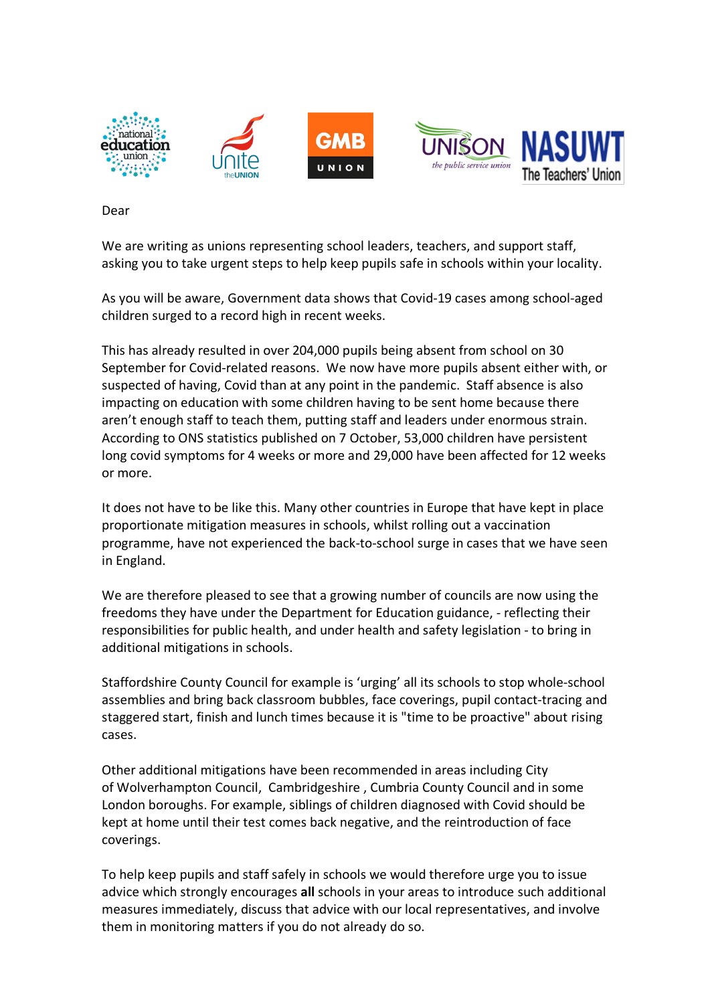

Dear

We are writing as unions representing school leaders, teachers, and support staff, asking you to take urgent steps to help keep pupils safe in schools within your locality.

As you will be aware, Government data shows that Covid-19 cases among school-aged children surged to a record high in recent weeks.

This has already resulted in over 204,000 pupils being absent from school on 30 September for Covid-related reasons. We now have more pupils absent either with, or suspected of having, Covid than at any point in the pandemic. Staff absence is also impacting on education with some children having to be sent home because there aren't enough staff to teach them, putting staff and leaders under enormous strain. According to ONS statistics published on 7 October, 53,000 children have persistent long covid symptoms for 4 weeks or more and 29,000 have been affected for 12 weeks or more.

It does not have to be like this. Many other countries in Europe that have kept in place proportionate mitigation measures in schools, whilst rolling out a vaccination programme, have not experienced the back-to-school surge in cases that we have seen in England.

We are therefore pleased to see that a growing number of councils are now using the freedoms they have under the Department for Education guidance, - reflecting their responsibilities for public health, and under health and safety legislation - to bring in additional mitigations in schools.

Staffordshire County Council for example is 'urging' all its schools to stop whole-school assemblies and bring back classroom bubbles, face coverings, pupil contact-tracing and staggered start, finish and lunch times because it is "time to be proactive" about rising cases.

Other additional mitigations have been recommended in areas including City of Wolverhampton Council, Cambridgeshire , Cumbria County Council and in some London boroughs. For example, siblings of children diagnosed with Covid should be kept at home until their test comes back negative, and the reintroduction of face coverings.

To help keep pupils and staff safely in schools we would therefore urge you to issue advice which strongly encourages **all** schools in your areas to introduce such additional measures immediately, discuss that advice with our local representatives, and involve them in monitoring matters if you do not already do so.